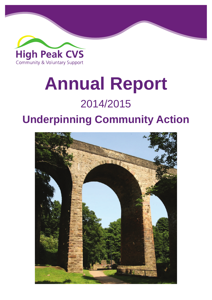

# **Annual Report** 2014/2015

# **Underpinning Community Action**

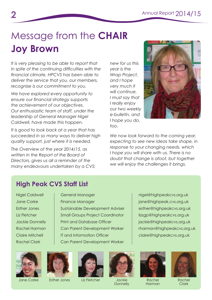# Message from the **CHAIR Joy Brown**

*It is very pleasing to be able to report that in spite of the continuing difficulties with the financial climate, HPCVS has been able to deliver the service that you, our members, recognise is our commitment to you.* 

*We have explored every opportunity to ensure our financial strategy supports the achievement of our objectives. Our enthusiastic team of staff, under the leadership of General Manager Nigel Caldwell, have made this happen.*

*It is good to look back at a year that has succeeded in so many ways to deliver high quality support, just where it is needed.*

*The Overview of the year 2014/15, as written in the Report of the Board of Directors, gives us all a reminder of the many endeavours undertaken by a CVS;*  *new for us this year is the Wrap Project, and I hope very much it will continue. I must say that I really enjoy our two weekly e-bulletin, and I hope you do, too.*



*We now look forward to the coming year, expecting to see new ideas take shape, in response to your changing needs, which I hope you will share with us. There is no doubt that change is afoot, but together we will enjoy the challenges it brings.*

#### **High Peak CVS Staff List**

Nigel Caldwell | General Manager | nigel@highpeakcvs.org.uk Jane Corke Finance Manager jane@highpeak.cvs.org.uk Esther Jones Sustainable Development Adviser | esther@highpeakcvs.org.uk Liz Fletcher **Small Groups Project Coordinator** | lizsgp@highpeakcvs.org.uk Jackie Donnelly | Print and Database Officer | jackie@highpeakcvs.org.uk Rachel Harman Can Parent Development Worker rharman@highpeakcvs.org.uk Claire Mitchell IT and Information Officer Claire@highpeakcvs.org.uk Rachel Clark Can Parent Development Worker



Jane Corke Esther Jones Liz Fletcher Jackie







**Donnelly** 



Rachel Harman



Rachel **Clark**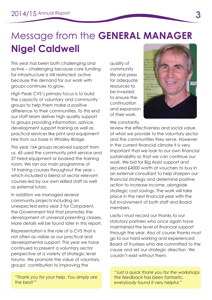# Message from the **GENERAL MANAGER Nigel Caldwell**

This year has been both challenging and active – challenging because core funding for infrastructure is still restricted; active because the demand for our work with groups continues to grow.

High Peak CVS's primary focus is to build the capacity of voluntary and community groups to help them make a positive difference to their communities. To this end our staff team deliver high quality support to groups providing information, advice, development support training as well as practical services like print and equipment hire from our base in Whaley Bridge.

This year 164 groups received support from us, 45 used the community print service and 27 hired equipment or booked the training room. We ran our main programme of 19 training courses throughout the year – which included a blend of sector relevant courses led by our own skilled staff as well as external tutors.

In addition we managed several community projects including an unexpected extra year 3 for Canparent, the Government trial that promotes the development of universal parenting classes. More details will be found later in this report.

Representation is the role of a CVS that is not often as visible as our practical and developmental support. This year we have continued to present a voluntary sector perspective at a variety of strategic level forums. We promote the value of voluntary groups' contribution to improving the

*"Thank you for your help. You simply are the best!'"*

quality of community life and press for adequate resources to be invested to ensure the continuation and expansion of their work.

We constantly



review the effectiveness and social value of what we provide to the voluntary sector and the communities they serve. However in the current financial climate it is very important that we look to our own financial sustainability so that we can continue our work. We bid for Big Assist support and secured £4000 worth of vouchers to buy in an external consultant to help sharpen our financial strategy and determine positive action to increase income, alongside strategic cost savings. The work will take place in the next financial year with the full involvement of both staff and Board members.

Lastly I must record our thanks to our statutory partners who once again have maintained the level of financial support through the year. Also of course thanks must go to our hard working and experienced Board of Trustees who are committed to the cause and set our strategic direction. We couldn't exist without them.

*"Just a quick thank you for the workshops the feedback has been fantastic, everybody found it very helpful."*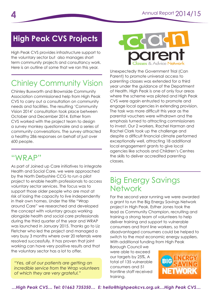# **High Peak CVS Projects**

High Peak CVS provides infrastructure support to the voluntary sector but also manages short term community projects and consultancy work. Here is an outline of some that we ran this year.

## Chinley Community Vision

Chinley Buxworth and Brownside Community Association commissioned help from High Peak CVS to carry out a consultation on community needs and facilities. The resulting 'Community Vision 2014' consultation took place between October and December 2014. Esther from CVS worked with the project team to design a survey monkey questionnaire and a series of community conversations. The survey attracted a healthy 286 responses on behalf of just over 600 people.

As part of Joined up Care initiatives to integrate Health and Social Care, we were approached by the North Derbyshire CCG to run a pilot project to enable health professionals to access voluntary sector services. The focus was to support those older people who are most at risk of losing the capacity to live independently in their own homes. Under the title "Wrap around Care" we researched and developed the concept with voluntary groups working alongside health and social care professionals during the third quarter of the year and WRAP was launched in January 2015. Thanks go to Liz Fletcher who led the project and managed a very busy 3 months where over 20 referrals were resolved successfully. It has proven that joint working can have very positive results and that the voluntary sector has a lot to offer.

*"Yes, all of our patients are getting an incredible service from the Wrap volunteers of which they are very grateful."*



Unexpectedly the Government Trial (Can Parent) to promote universal access to parenting classes was extended for a third year under the guidance of the Department of Health. High Peak is one of only four areas where the scheme was piloted and High Peak CVS were again entrusted to promote and engage local agencies in extending provision. The task was more difficult this year as the parental vouchers were withdrawn and the emphasis turned to attracting commissioners to invest. Our 2 workers, Rachel Harman and Rachel Clark took up the challenge and despite a difficult financial climate performed exceptionally well, attracting 18 additional local engagement grants to give local agencies like schools and Children's Centres the skills to deliver accredited parenting "WRAP" classes.

#### Big Energy Savings **Network**

For the second year running we were awarded a grant to run the Big Energy Savings Network project in High Peak. Esther Jones took the lead as Community Champion, recruiting and training a strong team of volunteers to help deliver training and support to vulnerable consumers and front line workers, so that disadvantaged consumers could be helped to switch to the most economic energy suppliers. With additional funding from High Peak

Borough Council we were able to exceed our targets by 25%. A total of 135 vulnerable consumers and 51 frontline staff received training.

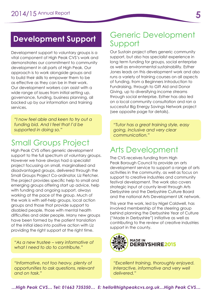## **Development Support**

Development support to voluntary groups is a vital component of High Peak CVS's work and demonstrates our commitment to community development in all parts of High Peak. Our approach is to work alongside groups and to build their skills to empower them to be as effective as they can be in their work. Our development workers can assist with a wide range of issues from initial setting up, governance, funding, business planning, all backed up by our information and training services.

*"I now feel able and keen to try out a funding bid. And I feel that I'd be supported in doing so."*

## Small Groups Project

High Peak CVS offers generic development support to the full spectrum of voluntary groups. However we have always had a specialist project focussing on small, marginalised and disadvantaged groups, delivered through the Small Groups Project Co-ordinator, Liz Fletcher. The project provides specific help to small and emerging groups offering start up advice, help with funding and ongoing support, always working at the pace of the group. Much of the work is with self-help groups, local action groups and those that provide support to disabled people, those with mental health difficulties and older people. Many new groups have been formed by the patient translation of the initial idea into positive action with Liz providing the right support at the right time.

*"As a new trustee – very informative of what I need to do to contribute."*

*"Informative, not too heavy, plenty of opportunities to ask questions, relevant and on task."*

#### Generic Development Support

Our Sustain project offers generic community support, but also has specialist experience in long term funding for groups, social enterprise as well as environmental sustainability. Esther Jones leads on this development work and also runs a variety of training courses on all aspects of funding, from a Beginners Introduction to Fundraising, through to Gift Aid and Donor Giving, up to diversifying income streams through social enterprise. Esther has also led on a local community consultation and ran a successful Big Energy Savings Network project (see opposite page for details).

*"Tutor has a great training style, easy going, inclusive and very clear communication."*

## Arts Development

The CVS receives funding from High Peak Borough Council to provide an arts development service to support a range of arts activities in the community, as well as focus on support to creative industries and community festival development. The work also covers strategic input at county level through Arts Derbyshire and the Derbyshire Culture Board and the national Arts Development UK network.

This year the work, led by Nigel Caldwell, has involved membership of the steering group behind planning the Derbyshire Year of Culture ("Made in Derbyshire") initiative as well as contributing to the review of creative industries support in the county.



*"Excellent training, thoroughly enjoyed. Interactive, informative and very well delivered."*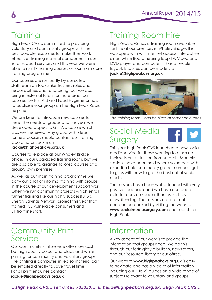# **Training**

High Peak CVS is committed to providing voluntary and community groups with the best possible resources to make their work effective. Training is a vital component in our list of support services and this year we were able to run 19 training courses on our main core training programme.

Our courses are run partly by our skilled staff team on topics like Trustees roles and responsibilities and fundraising, but we also bring in external tutors for more practical courses like First Aid and Food Hygiene or how to publicise your group on the High Peak Radio helpline.

We are keen to introduce new courses to meet the needs of groups and this year we developed a specific Gift Aid course which was well received. Any group with ideas for new courses should contact our Training Coordinator Jackie on

#### **jackie@highpeakcvs.org.uk**

Courses take place at our Whaley Bridge offices in our upgraded training room, but we are also able to arrange tailored courses at a group's own premises.

As well as our main training programme we carry out a lot of informal training with groups in the course of our development support work. Often we run community projects which entail further training like our highly successful Big Energy Savings Network project this year that trained 135 vulnerable consumers and 51 frontline staff.

#### Community Print Service

Our Community Print Service offers low cost but high quality colour and black and white printing for community and voluntary groups. The printing is computer linked so material can be emailed directly to save travel time. For all print enquiries contact **jackie@highpeakcvs.org.uk**

## Training Room Hire

High Peak CVS has a training room available for hire at our premises in Whaley Bridge. It is equipped with wi-fi internet access, interactive smart white Board hearing loop TV, Video and DVD player and computer. It has a flexible layout. Enquires can be made via **jackie@highpeakcvs.org.uk**



*The training room – can be hired at reasonable rates.*

#### Social Media Surgery



This year High Peak CVS launched a new social media service for those wanting to brush up their skills or just to start from scratch. Monthly sessions have been held where volunteers with expertise help community group members get to grips with how to get the best out of social media.

The sessions have been well attended with very positive feedback and we have also been able to focus on special themes such as crowdfunding. The sessions are informal and can be booked by visiting the website **www.socialmediasurgery.com** and search for High Peak.

## Information

A key aspect of our work is to provide the information that groups need. We do this through our fortnightly e bulletin, newsletters, and our Resource library at our office.

Our website **www.highpeakcvs.org.uk** is easy to navigate and has a wealth of information including our "How" guides on a wide range of subjects relevant to voluntary and groups.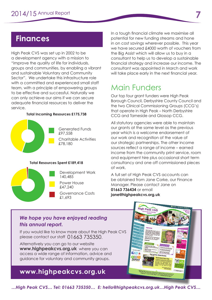High Peak CVS was set up in 2002 to be a development agency with a mission to "improve the quality of life for individuals, groups and communities, by enabling a vibrant and sustainable Voluntary and Community Sector". We undertake this infrastructure role with a committed and experienced small staff team, with a principle of empowering groups to be effective and successful. Naturally we can only achieve our aims if we can secure adequate financial resources to deliver the service.

#### **Total Incoming Resources £175,738**



Generated Funds £97,558 Charitable Activities £78,180

#### **Total Resources Spent £189,418**



Development Work 140,485

Power House £47,240 Governance Costs

£1,693

**Finances** In a tough financial climate we maximise all potential for new funding streams and hone in on cost savings wherever possible. This year we have secured £4000 worth of vouchers from the Big Assist which will allow us to buy in a consultant to help us to develop a sustainable financial strategy and increase our income. The consultant was appointed in March and work will take place early in the next financial year.

#### Main Funders

Our top four grant funders were High Peak Borough Council, Derbyshire County Council and the two Clinical Commissioning Groups (CCG's) that operate in High Peak – North Derbyshire CCG and Tameside and Glossop CCG.

All statutory agencies were able to maintain our grants at the same level as the previous year which is a welcome endorsement of our work and recognition of the value of our strategic partnerships. The other income sources reflect a range of income - earned income from the community print service, room and equipment hire plus occasional short term consultancy and one off commissioned pieces of work.

A full set of High Peak CVS accounts can be obtained from Jane Corke, our Finance Manager. Please contact Jane on **01663 736434** or email **jane@highpeakcvs.org.uk**

#### *We hope you have enjoyed reading this annual report.*

If you would like to know more about the High Peak CVS please contact our staff 01663 735350.

Alternatively you can go to our website **www.highpeakcvs.org.uk** where you can access a wide range of information, advice and guidance for voluntary and community groups.

#### **www.highpeakcvs.org.uk**



*…High Peak CVS… Tel: 01663 735350… E: hello@highpeakcvs.org.uk…High Peak CVS…*